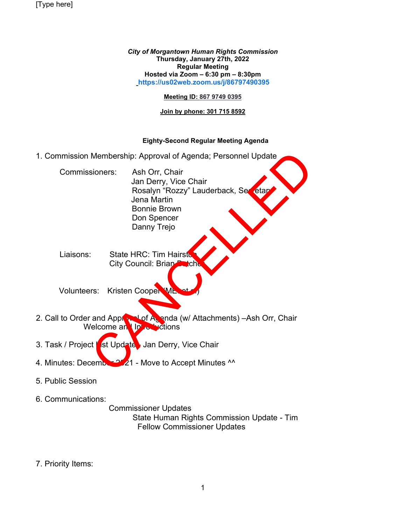[Type here]

*City of Morgantown Human Rights Commission* **Thursday, January 27th, 2022 Regular Meeting Hosted via Zoom – 6:30 pm – 8:30pm [https://us02web.zoom.us/j/86797490395](https://us02web.zoom.us/j/86797490395?pwd=dUJOdzJDSzcwRG51OTBqSGJML3BJZz09)**

## **Meeting ID: 867 9749 0395**

## **Join by phone: 301 715 8592**

## **Eighty-Second Regular Meeting Agenda**

1. Commission Membership: Approval of Agenda; Personnel Update

Commissioners: Ash Orr, Chair Jan Derry, Vice Chair Rosalyn "Rozzy" Lauderback, Secretary Jena Martin Bonnie Brown Don Spencer Danny Trejo Membership: Approval of Agenda; Personnel Update<br>
sioners: Ash Orr, Chair<br>
Jan Derry, Vice Chair<br>
Rosalyn "Rozzy" Lauderback, Section<br>
Jena Martin<br>
Bonnie Brown<br>
Don Spencer<br>
Danny Trejo<br>
State HRC: Tim Hairst<br>
City Counci

Liaisons: State HRC: Tim Hairston City Council: Brian

Volunteers: Kristen Cooper ME

- 2. Call to Order and Approval of Agenda (w/ Attachments) –Ash Orr, Chair Welcome and Introductions
- 3. Task / Project List Update Jan Derry, Vice Chair
- 4. Minutes: December 2021 Move to Accept Minutes ^^
- 5. Public Session
- 6. Communications:

 Commissioner Updates State Human Rights Commission Update - Tim Fellow Commissioner Updates

7. Priority Items: